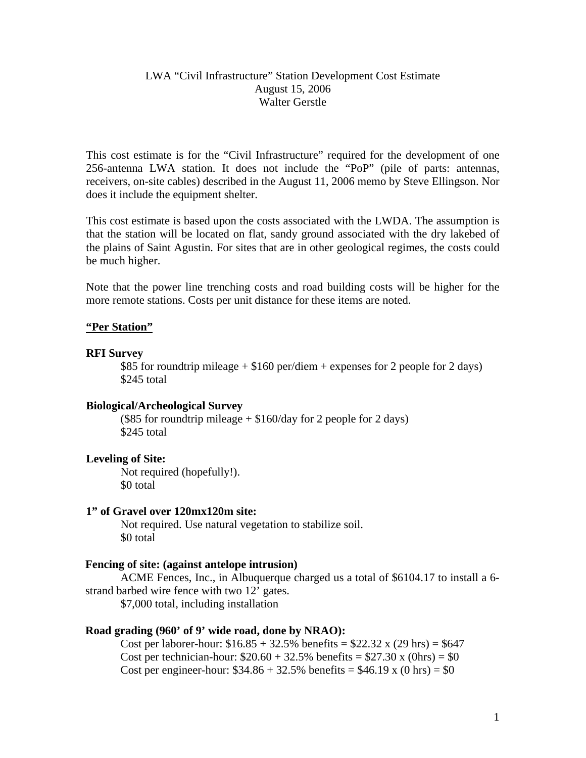## LWA "Civil Infrastructure" Station Development Cost Estimate August 15, 2006 Walter Gerstle

This cost estimate is for the "Civil Infrastructure" required for the development of one 256-antenna LWA station. It does not include the "PoP" (pile of parts: antennas, receivers, on-site cables) described in the August 11, 2006 memo by Steve Ellingson. Nor does it include the equipment shelter.

This cost estimate is based upon the costs associated with the LWDA. The assumption is that the station will be located on flat, sandy ground associated with the dry lakebed of the plains of Saint Agustin. For sites that are in other geological regimes, the costs could be much higher.

Note that the power line trenching costs and road building costs will be higher for the more remote stations. Costs per unit distance for these items are noted.

#### **"Per Station"**

#### **RFI Survey**

\$85 for roundtrip mileage + \$160 per/diem + expenses for 2 people for 2 days) \$245 total

#### **Biological/Archeological Survey**

(\$85 for roundtrip mileage + \$160/day for 2 people for 2 days) \$245 total

#### **Leveling of Site:**

Not required (hopefully!). \$0 total

#### **1" of Gravel over 120mx120m site:**

Not required. Use natural vegetation to stabilize soil. \$0 total

#### **Fencing of site: (against antelope intrusion)**

 ACME Fences, Inc., in Albuquerque charged us a total of \$6104.17 to install a 6 strand barbed wire fence with two 12' gates.

\$7,000 total, including installation

#### **Road grading (960' of 9' wide road, done by NRAO):**

Cost per laborer-hour:  $$16.85 + 32.5\%$  benefits =  $$22.32$  x (29 hrs) =  $$647$ Cost per technician-hour:  $$20.60 + 32.5\%$  benefits =  $$27.30 \times (0) \text{ hrs}$  = \$0 Cost per engineer-hour:  $$34.86 + 32.5\%$  benefits = \$46.19 x (0 hrs) = \$0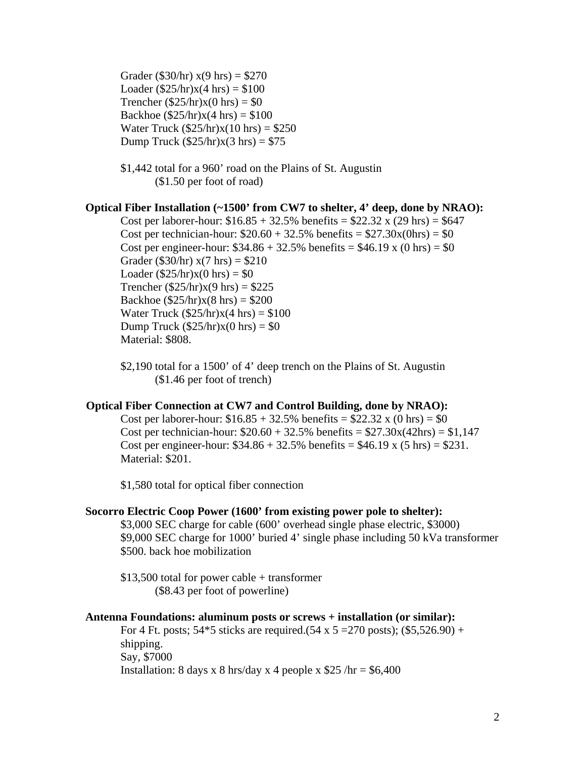Grader (\$30/hr)  $x(9 \text{ hrs}) = $270$ Loader  $(\$25/hr)x(4 hrs) = \$100$ Trencher  $(\$25/hr)x(0 hrs) = \$0$ Backhoe ( $$25/hr$ )x(4 hrs) = \$100 Water Truck  $(\$25/hr)x(10 hrs) = \$250$ Dump Truck  $(\$25/hr)x(3 hrs) = \$75$ 

 \$1,442 total for a 960' road on the Plains of St. Augustin (\$1.50 per foot of road)

## **Optical Fiber Installation (~1500' from CW7 to shelter, 4' deep, done by NRAO):**

Cost per laborer-hour:  $$16.85 + 32.5\%$  benefits =  $$22.32$  x (29 hrs) =  $$647$ Cost per technician-hour:  $$20.60 + 32.5\%$  benefits =  $$27.30x(0)$ hrs) = \$0 Cost per engineer-hour:  $$34.86 + 32.5\%$  benefits = \$46.19 x (0 hrs) = \$0 Grader (\$30/hr)  $x(7 \text{ hrs}) = $210$ Loader  $(\$25/hr)x(0 hrs) = $0$ Trencher  $(\$25/hr)x(9 hrs) = \$225$ Backhoe ( $$25/hr$ )x(8 hrs) =  $$200$ Water Truck  $(\frac{$25}{hr})x(4 hr) = \$100$ Dump Truck  $(\$25/hr)x(0 hrs) = \$0$ Material: \$808.

 \$2,190 total for a 1500' of 4' deep trench on the Plains of St. Augustin (\$1.46 per foot of trench)

## **Optical Fiber Connection at CW7 and Control Building, done by NRAO):**

Cost per laborer-hour:  $$16.85 + 32.5\%$  benefits =  $$22.32 \times (0 \text{ hrs}) = $0$ Cost per technician-hour:  $$20.60 + 32.5\%$  benefits =  $$27.30x(42hrs) = $1,147$ Cost per engineer-hour:  $$34.86 + 32.5\%$  benefits = \$46.19 x (5 hrs) = \$231. Material: \$201.

\$1,580 total for optical fiber connection

# **Socorro Electric Coop Power (1600' from existing power pole to shelter):**

 \$3,000 SEC charge for cable (600' overhead single phase electric, \$3000) \$9,000 SEC charge for 1000' buried 4' single phase including 50 kVa transformer \$500. back hoe mobilization

 \$13,500 total for power cable + transformer (\$8.43 per foot of powerline)

#### **Antenna Foundations: aluminum posts or screws + installation (or similar):**

For 4 Ft. posts;  $54*5$  sticks are required.(54 x 5 = 270 posts); (\$5,526.90) + shipping. Say, \$7000 Installation: 8 days x 8 hrs/day x 4 people x  $$25 / hr = $6,400$